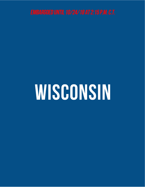# WISCONSIN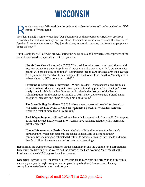## **WISCONSIN**

epublicans want Wisconsinites to believe that they're better off under unchecked GOP control of Washington.

President Donald Trump tweets that "Our Economy is setting records on virtually every front - Probably the best our country has ever done. Tremendous value created since the Election."<sup>1</sup> Speaker Ryan tells the press that "by just about any economic measure, the American people are better off now."<sup>2</sup>

But it is only the well-off who are weathering the rising costs and destructive consequences of the Republicans' reckless, special-interest first policies.

**Health Care Costs Rising** – 2,435,700 Wisconsinites with pre-existing conditions could lose key protections under Republicans' lawsuit to strike down the ACA's protections for people with pre-existing conditions.<sup>3</sup> Republicans' health care sabotage drove the average 2018 premium for the silver benchmark plan for a 40-year-old in the ACA Marketplace in Wisconsin up by 55%, compared to  $2017<sup>4</sup>$ 

**Prescription Drug Prices Increasing** – While President Trump backed down from his promise to have Medicare negotiate down prescription drug prices, 12 of the top 20 most costly drugs for Medicare Part D increased in price in the first year of the Trump Administration.<sup>5</sup> In the first seven months of 2018 alone, there were 4,412 brand-name drug price increases and 46 price cuts, a ratio of 96-to-1.<sup>6</sup>

**Tax Scam Failing Families** – 330,320 Wisconsin taxpayers will see NO tax benefit or will suffer a tax hike by 2019, while the wealthiest 1 percent of Wisconsin residents received a total of more than **\$1.5 million**. 7

**Real Wages Stagnant** – Since President Trump's inauguration in January 2017 to August 2018, real average hourly wages in Wisconsin have remained relatively flat, increasing just 0.5 percent.<sup>8</sup>

**Unmet Infrastructure Needs** – Due to the lack of federal investment in the state's infrastructure, Wisconsin residents are facing considerable challenges in their communities including an estimated \$1 billion to address drinking water needs and more than \$6.3 billion for wastewater infrastructure shortcomings.<sup>9</sup>

Republicans are trying to focus attention on the stock market and the wealth of big corporations. Democrats are listening to the voices and the stories of the hard-working Americans that the President and the GOP Congress have long ignored.

Democrats' agenda is For The People: lower your health care costs and prescription drug prices, increase your pay through strong economic growth by rebuilding America and clean up corruption to make Washington work for you.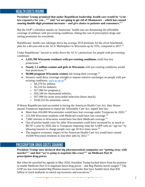### **HEALTH COSTS RISING**

**President Trump promised that under Republican leadership, health care would be "a lot less expensive for you…"**<sup>10</sup> **and "we are going to get rid of Obamacare – which has caused soaring double-digit premium increases – and give choice to patients and consumers."**<sup>11</sup>

But the GOP's relentless attacks on Americans' health care are threatening the affordable coverage of millions with pre-existing conditions, hiking the cost of prescription drugs and raising premiums for everybody.

Republicans' health care sabotage drove the average 2018 premium for the silver benchmark plan for a 40-year-old in the ACA Marketplace in Wisconsin up by 55%, compared to 2017.<sup>12</sup>

Under Republicans' lawsuit to strike down the ACA's protections for people with pre-existing conditions:

- **2,435,700 Wisconsin residents with pre-existing conditions** could lose key protections. 13
- **Nearly 1.2 million women and girls in Wisconsin** with pre-existing conditions would lose protections.<sup>14</sup>
- **90,000 pregnant Wisconsin women** risk losing their coverage.<sup>15</sup>
- Insurers could deny coverage outright or impose massive surcharges on people with preexisting conditions, [such as up to:](https://www.americanprogress.org/issues/healthcare/news/2017/04/20/430858/latest-aca-repeal-plan-explode-premiums-people-pre-existing-conditions/)<sup>16</sup>
	- $\circ$  \$4,270 for asthma:
	- o \$5,510 for diabetes;
	- o \$17,060 for pregnancy;
	- o \$26,180 for rheumatoid arthritis;
	- o \$57,090 for acute myocardial infarction (heart attack);
	- o \$140,510 for metastatic cancer.

If House Republicans had succeeded in having the American Health Care Act, their Housepassed Trumpcare legislation to repeal the Affordable Care Act, signed into law:

- More than 416,000 Wisconsinites would have lost coverage under Trumpcare by 2026.<sup>17</sup>
- 223,500 Wisconsin residents with Medicaid would have lost coverage.<sup>18</sup>
- 7,600 veterans in Wisconsin would have lost their Medicaid coverage.<sup>19</sup>
- Out-of-pocket health costs for older Wisconsinites could have increased by as much as \$8,707 a year by 2020, due to Trumpcare imposing what the AARP calls an "age tax" by allowing insurers to charge people over age 50 five times more.<sup>20</sup>
- The negative economic impact of the American Health Care Act would have caused 10,838 Wisconsin residents to lose their jobs by 2022. 21

#### **PRESCRIPTION DRUG COSTS SOARING**

**President Trump once declared that big pharmaceutical companies are "getting away with murder"**<sup>22</sup> **and that "we're going to negotiate like crazy"**<sup>23</sup> **on Medicare Part D prescription drug prices.**

But when he unveiled his agenda in May 2018, President Trump backed down from his promise to enable Medicare Part D to negotiate down drug prices – and Big Pharma stocks surged.<sup>24</sup> The GOP tax law even handed Big Pharma massive tax breaks that have funded more than \$50 billion in stock buybacks to enrich top investors and executives.<sup>25</sup>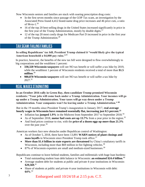Now Wisconsin seniors and families are stuck with soaring prescription drug costs:

- In the first seven months since passage of the GOP Tax scam, an investigation by the Associated Press found 4,412 brand-name drug price increases and 46 price cuts, a ratio of 96-to-1.<sup>26</sup>
- 16 of the top 20 best-selling drugs in the United States increased significantly in price in the first year of the Trump Administration, mostly by double digits. $27$
- 12 of the top 20 most costly drugs for Medicare Part D increased in price in the first year of the Trump Administration.<sup>28</sup>

#### **TAX SCAM FAILING FAMILIES**

**In selling Republicans' tax bill, President Trump claimed it "would likely give the typical American household a \$4,000 pay raise."**<sup>29</sup>

In practice, however, the benefits of the new tax bill were designed to flow overwhelmingly to big corporations and the wealthiest 1 percent:

- **330,320 Wisconsin taxpayers** will see NO tax benefit or will suffer a tax hike by 2019, while the wealthiest 1 percent of Wisconsin residents received a total of more than **\$1.5 million**. 30
- **980,870 Wisconsin taxpayers** will see NO tax benefit or will suffer a tax hike by  $2027.^{31}$

#### **REAL WAGES STAGNATING**

**In an October 2016 rally in Green Bay, then-candidate Trump promised Wisconsin residents: "Your jobs will come back under a Trump Administration. Your incomes will go up under a Trump Administration. Your taxes will go way down under a Trump Administration. Your companies won't be leaving under a Trump Administration." <sup>32</sup>**

But in the 19 months since President Trump's inauguration in January 2017, **real average hourly wages in Wisconsin have remained essentially flat, increasing just 0.5 percent.<sup>33</sup>**

- Inflation has **jumped 1.9%** in the Midwest from September 2017 to September 2018.<sup>34</sup>
- As of September 2018, **motor fuel costs are up 13.7%** from a year prior in the region.<sup>35</sup>
- And food prices continue to rise, with the **price of a dozen eggs up more than 21.3%** over the past year.<sup>36</sup>

American workers face new obstacles under Republican control of Washington:

- As of October 5, 2018, there have been 13,891 **WARN notices of plant closings and mass layoffs** in Wisconsin since President Trump took office.<sup>37</sup>
- **More than \$1.4 billion in state exports are threatened** by China's retaliatory tariffs in Wisconsin, including more than \$69 million in fire fighting vehicles.<sup>38</sup>
- 87% of Wisconsin exporters are small and medium-sized businesses.<sup>39</sup>

Republicans continue to leave behind students, families and millennials with huge loan burdens:

- Total outstanding student loan debt balance in Wisconsin: **an estimated \$24.4 billion**. 40
- Average student debt for students at public and private 4-year institutions in Wisconsin: **\$29,569.**<sup>41</sup>
- Share of students at public and private 4-year institutions in Wisconsin with debt: **64%**. 42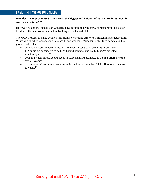#### **UNMET INFRASTRUCTURE NEEDS**

#### **President Trump promised Americans "the biggest and boldest infrastructure investment in American history."** <sup>43</sup>

However, he and the Republican Congress have refused to bring forward meaningful legislation to address the massive infrastructure backlog in the United States.

The GOP's refusal to make good on this promise to rebuild America's broken infrastructure hurts Wisconsin families, endangers public health and weakens Wisconsin's ability to compete in the global marketplace.

- Driving on roads in need of repair in Wisconsin costs each driver **\$637 per year.**<sup>44</sup>
- **157 dams** are considered to be high-hazard potential and **1,232 bridges** are rated structurally deficient.<sup>45</sup>
- Drinking water infrastructure needs in Wisconsin are estimated to be **\$1 billion** over the next 20 years.<sup>46</sup>
- Wastewater infrastructure needs are estimated to be more than **\$6.3 billion** over the next  $20$  years. $47$